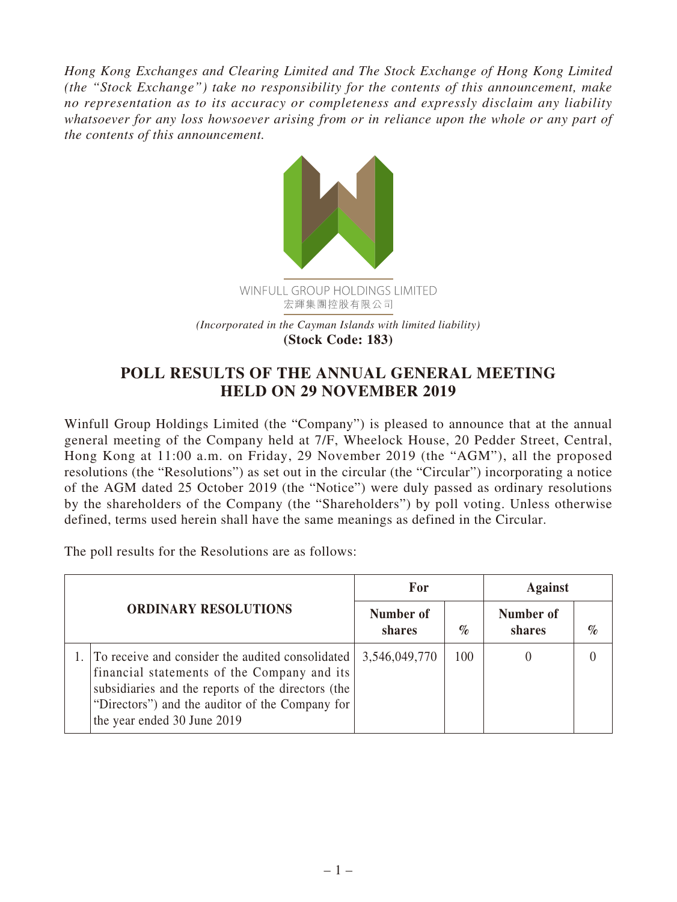*Hong Kong Exchanges and Clearing Limited and The Stock Exchange of Hong Kong Limited (the "Stock Exchange") take no responsibility for the contents of this announcement, make no representation as to its accuracy or completeness and expressly disclaim any liability whatsoever for any loss howsoever arising from or in reliance upon the whole or any part of the contents of this announcement.*



## **POLL RESULTS OF THE ANNUAL GENERAL MEETING HELD ON 29 NOVEMBER 2019**

Winfull Group Holdings Limited (the "Company") is pleased to announce that at the annual general meeting of the Company held at 7/F, Wheelock House, 20 Pedder Street, Central, Hong Kong at 11:00 a.m. on Friday, 29 November 2019 (the "AGM"), all the proposed resolutions (the "Resolutions") as set out in the circular (the "Circular") incorporating a notice of the AGM dated 25 October 2019 (the "Notice") were duly passed as ordinary resolutions by the shareholders of the Company (the "Shareholders") by poll voting. Unless otherwise defined, terms used herein shall have the same meanings as defined in the Circular.

The poll results for the Resolutions are as follows:

| <b>ORDINARY RESOLUTIONS</b> |                                                                                                                                                                                                                                         | For                 |      | <b>Against</b>      |      |
|-----------------------------|-----------------------------------------------------------------------------------------------------------------------------------------------------------------------------------------------------------------------------------------|---------------------|------|---------------------|------|
|                             |                                                                                                                                                                                                                                         | Number of<br>shares | $\%$ | Number of<br>shares | $\%$ |
|                             | To receive and consider the audited consolidated<br>financial statements of the Company and its<br>subsidiaries and the reports of the directors (the<br>"Directors") and the auditor of the Company for<br>the year ended 30 June 2019 | 3,546,049,770       | 100  |                     |      |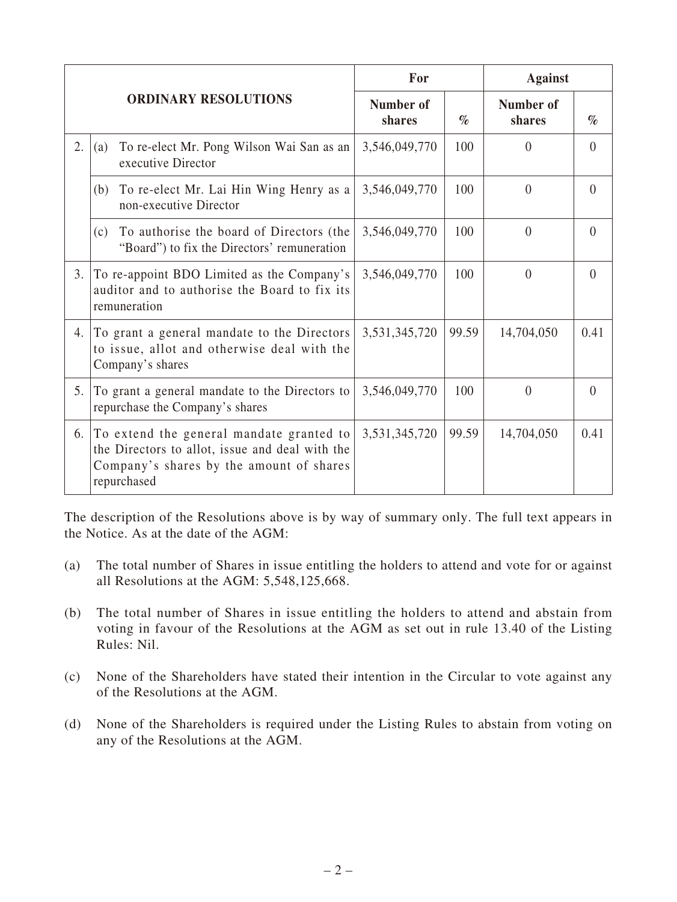| <b>ORDINARY RESOLUTIONS</b> |                                                                                                                                                        | For                 |       | <b>Against</b>      |          |
|-----------------------------|--------------------------------------------------------------------------------------------------------------------------------------------------------|---------------------|-------|---------------------|----------|
|                             |                                                                                                                                                        | Number of<br>shares | $\%$  | Number of<br>shares | $\%$     |
| 2.                          | To re-elect Mr. Pong Wilson Wai San as an<br>(a)<br>executive Director                                                                                 | 3,546,049,770       | 100   | $\theta$            | $\theta$ |
|                             | To re-elect Mr. Lai Hin Wing Henry as a<br>(b)<br>non-executive Director                                                                               | 3,546,049,770       | 100   | $\theta$            | $\theta$ |
|                             | To authorise the board of Directors (the<br>(c)<br>"Board") to fix the Directors' remuneration                                                         | 3,546,049,770       | 100   | $\overline{0}$      | $\theta$ |
| 3.                          | To re-appoint BDO Limited as the Company's<br>auditor and to authorise the Board to fix its<br>remuneration                                            | 3,546,049,770       | 100   | $\theta$            | $\Omega$ |
| 4.                          | To grant a general mandate to the Directors<br>to issue, allot and otherwise deal with the<br>Company's shares                                         | 3,531,345,720       | 99.59 | 14,704,050          | 0.41     |
| 5.                          | To grant a general mandate to the Directors to<br>repurchase the Company's shares                                                                      | 3,546,049,770       | 100   | $\theta$            | $\theta$ |
| 6.                          | To extend the general mandate granted to<br>the Directors to allot, issue and deal with the<br>Company's shares by the amount of shares<br>repurchased | 3,531,345,720       | 99.59 | 14,704,050          | 0.41     |

The description of the Resolutions above is by way of summary only. The full text appears in the Notice. As at the date of the AGM:

- (a) The total number of Shares in issue entitling the holders to attend and vote for or against all Resolutions at the AGM: 5,548,125,668.
- (b) The total number of Shares in issue entitling the holders to attend and abstain from voting in favour of the Resolutions at the AGM as set out in rule 13.40 of the Listing Rules: Nil.
- (c) None of the Shareholders have stated their intention in the Circular to vote against any of the Resolutions at the AGM.
- (d) None of the Shareholders is required under the Listing Rules to abstain from voting on any of the Resolutions at the AGM.